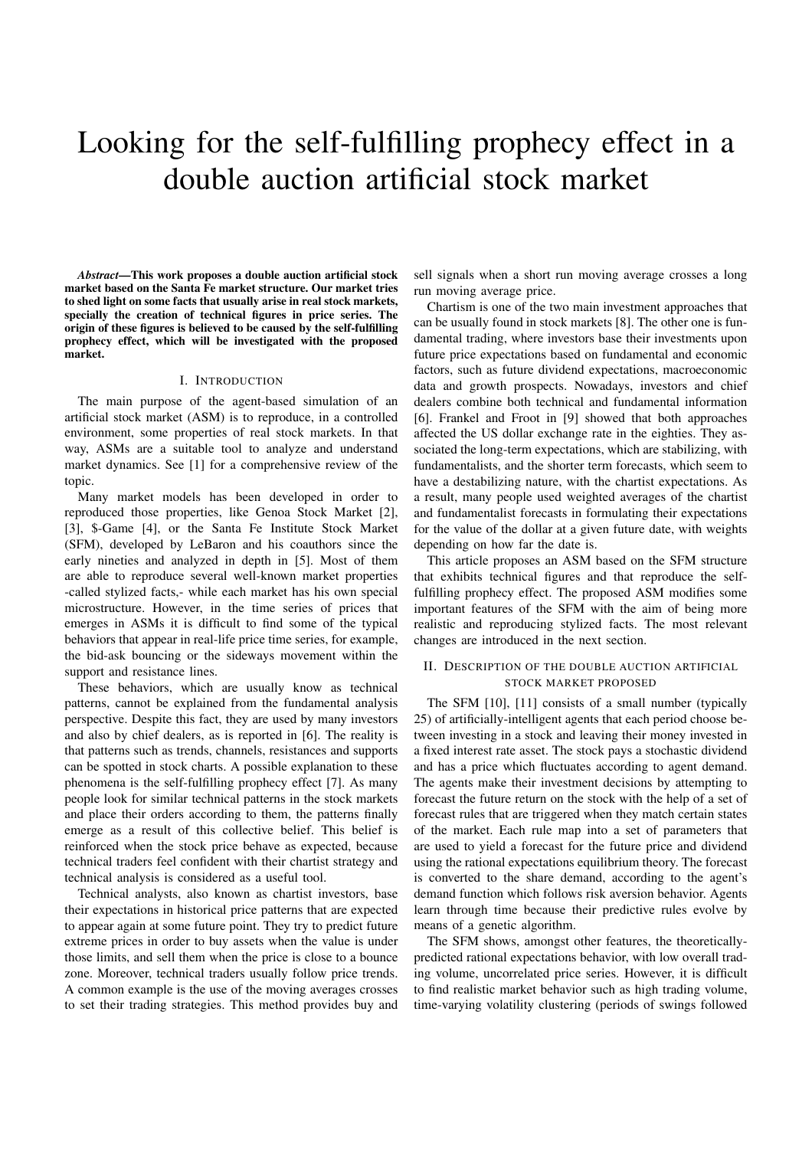# Looking for the self-fulfilling prophecy effect in a double auction artificial stock market

*Abstract*—This work proposes a double auction artificial stock market based on the Santa Fe market structure. Our market tries to shed light on some facts that usually arise in real stock markets, specially the creation of technical figures in price series. The origin of these figures is believed to be caused by the self-fulfilling prophecy effect, which will be investigated with the proposed market.

# I. INTRODUCTION

The main purpose of the agent-based simulation of an artificial stock market (ASM) is to reproduce, in a controlled environment, some properties of real stock markets. In that way, ASMs are a suitable tool to analyze and understand market dynamics. See [1] for a comprehensive review of the topic.

Many market models has been developed in order to reproduced those properties, like Genoa Stock Market [2], [3], \$-Game [4], or the Santa Fe Institute Stock Market (SFM), developed by LeBaron and his coauthors since the early nineties and analyzed in depth in [5]. Most of them are able to reproduce several well-known market properties -called stylized facts,- while each market has his own special microstructure. However, in the time series of prices that emerges in ASMs it is difficult to find some of the typical behaviors that appear in real-life price time series, for example, the bid-ask bouncing or the sideways movement within the support and resistance lines.

These behaviors, which are usually know as technical patterns, cannot be explained from the fundamental analysis perspective. Despite this fact, they are used by many investors and also by chief dealers, as is reported in [6]. The reality is that patterns such as trends, channels, resistances and supports can be spotted in stock charts. A possible explanation to these phenomena is the self-fulfilling prophecy effect [7]. As many people look for similar technical patterns in the stock markets and place their orders according to them, the patterns finally emerge as a result of this collective belief. This belief is reinforced when the stock price behave as expected, because technical traders feel confident with their chartist strategy and technical analysis is considered as a useful tool.

Technical analysts, also known as chartist investors, base their expectations in historical price patterns that are expected to appear again at some future point. They try to predict future extreme prices in order to buy assets when the value is under those limits, and sell them when the price is close to a bounce zone. Moreover, technical traders usually follow price trends. A common example is the use of the moving averages crosses to set their trading strategies. This method provides buy and

sell signals when a short run moving average crosses a long run moving average price.

Chartism is one of the two main investment approaches that can be usually found in stock markets [8]. The other one is fundamental trading, where investors base their investments upon future price expectations based on fundamental and economic factors, such as future dividend expectations, macroeconomic data and growth prospects. Nowadays, investors and chief dealers combine both technical and fundamental information [6]. Frankel and Froot in [9] showed that both approaches affected the US dollar exchange rate in the eighties. They associated the long-term expectations, which are stabilizing, with fundamentalists, and the shorter term forecasts, which seem to have a destabilizing nature, with the chartist expectations. As a result, many people used weighted averages of the chartist and fundamentalist forecasts in formulating their expectations for the value of the dollar at a given future date, with weights depending on how far the date is.

This article proposes an ASM based on the SFM structure that exhibits technical figures and that reproduce the selffulfilling prophecy effect. The proposed ASM modifies some important features of the SFM with the aim of being more realistic and reproducing stylized facts. The most relevant changes are introduced in the next section.

# II. DESCRIPTION OF THE DOUBLE AUCTION ARTIFICIAL STOCK MARKET PROPOSED

The SFM [10], [11] consists of a small number (typically 25) of artificially-intelligent agents that each period choose between investing in a stock and leaving their money invested in a fixed interest rate asset. The stock pays a stochastic dividend and has a price which fluctuates according to agent demand. The agents make their investment decisions by attempting to forecast the future return on the stock with the help of a set of forecast rules that are triggered when they match certain states of the market. Each rule map into a set of parameters that are used to yield a forecast for the future price and dividend using the rational expectations equilibrium theory. The forecast is converted to the share demand, according to the agent's demand function which follows risk aversion behavior. Agents learn through time because their predictive rules evolve by means of a genetic algorithm.

The SFM shows, amongst other features, the theoreticallypredicted rational expectations behavior, with low overall trading volume, uncorrelated price series. However, it is difficult to find realistic market behavior such as high trading volume, time-varying volatility clustering (periods of swings followed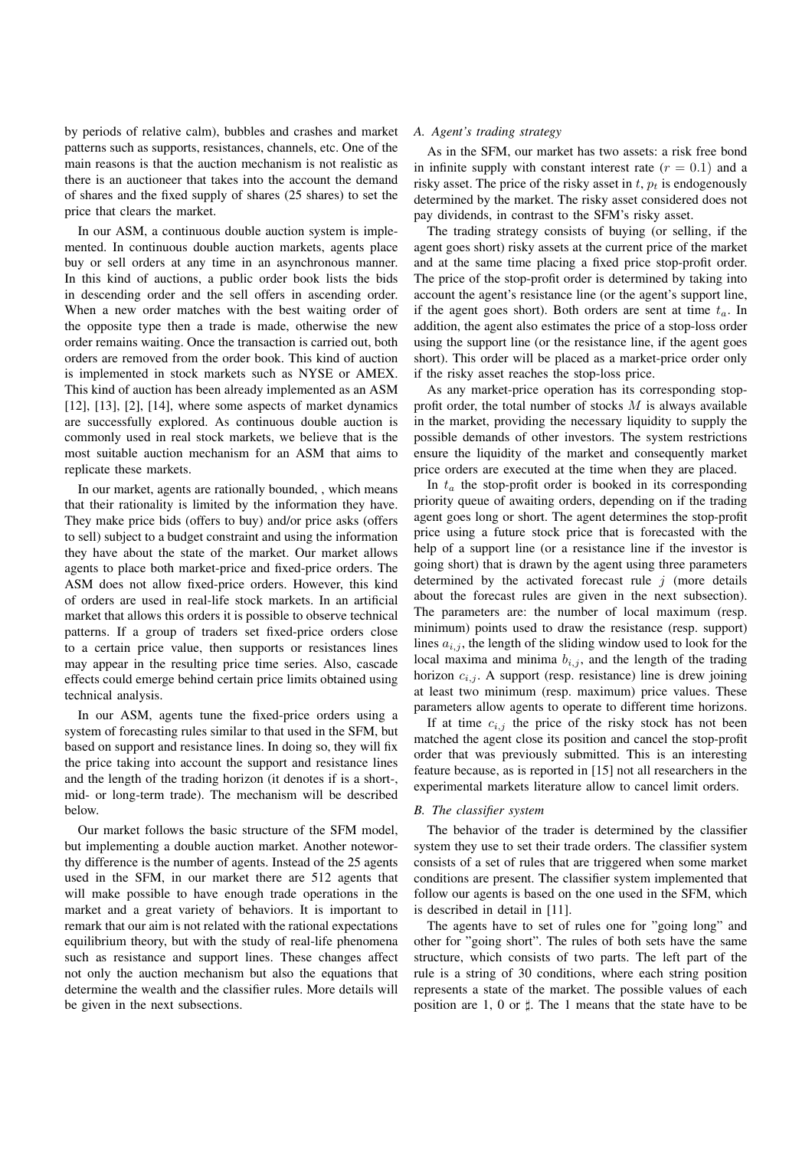by periods of relative calm), bubbles and crashes and market patterns such as supports, resistances, channels, etc. One of the main reasons is that the auction mechanism is not realistic as there is an auctioneer that takes into the account the demand of shares and the fixed supply of shares (25 shares) to set the price that clears the market.

In our ASM, a continuous double auction system is implemented. In continuous double auction markets, agents place buy or sell orders at any time in an asynchronous manner. In this kind of auctions, a public order book lists the bids in descending order and the sell offers in ascending order. When a new order matches with the best waiting order of the opposite type then a trade is made, otherwise the new order remains waiting. Once the transaction is carried out, both orders are removed from the order book. This kind of auction is implemented in stock markets such as NYSE or AMEX. This kind of auction has been already implemented as an ASM  $[12]$ ,  $[13]$ ,  $[2]$ ,  $[14]$ , where some aspects of market dynamics are successfully explored. As continuous double auction is commonly used in real stock markets, we believe that is the most suitable auction mechanism for an ASM that aims to replicate these markets.

In our market, agents are rationally bounded, , which means that their rationality is limited by the information they have. They make price bids (offers to buy) and/or price asks (offers to sell) subject to a budget constraint and using the information they have about the state of the market. Our market allows agents to place both market-price and fixed-price orders. The ASM does not allow fixed-price orders. However, this kind of orders are used in real-life stock markets. In an artificial market that allows this orders it is possible to observe technical patterns. If a group of traders set fixed-price orders close to a certain price value, then supports or resistances lines may appear in the resulting price time series. Also, cascade effects could emerge behind certain price limits obtained using technical analysis.

In our ASM, agents tune the fixed-price orders using a system of forecasting rules similar to that used in the SFM, but based on support and resistance lines. In doing so, they will fix the price taking into account the support and resistance lines and the length of the trading horizon (it denotes if is a short-, mid- or long-term trade). The mechanism will be described below.

Our market follows the basic structure of the SFM model, but implementing a double auction market. Another noteworthy difference is the number of agents. Instead of the 25 agents used in the SFM, in our market there are 512 agents that will make possible to have enough trade operations in the market and a great variety of behaviors. It is important to remark that our aim is not related with the rational expectations equilibrium theory, but with the study of real-life phenomena such as resistance and support lines. These changes affect not only the auction mechanism but also the equations that determine the wealth and the classifier rules. More details will be given in the next subsections.

# *A. Agent's trading strategy*

As in the SFM, our market has two assets: a risk free bond in infinite supply with constant interest rate  $(r = 0.1)$  and a risky asset. The price of the risky asset in  $t$ ,  $p_t$  is endogenously determined by the market. The risky asset considered does not pay dividends, in contrast to the SFM's risky asset.

The trading strategy consists of buying (or selling, if the agent goes short) risky assets at the current price of the market and at the same time placing a fixed price stop-profit order. The price of the stop-profit order is determined by taking into account the agent's resistance line (or the agent's support line, if the agent goes short). Both orders are sent at time  $t_a$ . In addition, the agent also estimates the price of a stop-loss order using the support line (or the resistance line, if the agent goes short). This order will be placed as a market-price order only if the risky asset reaches the stop-loss price.

As any market-price operation has its corresponding stopprofit order, the total number of stocks  $M$  is always available in the market, providing the necessary liquidity to supply the possible demands of other investors. The system restrictions ensure the liquidity of the market and consequently market price orders are executed at the time when they are placed.

In  $t_a$  the stop-profit order is booked in its corresponding priority queue of awaiting orders, depending on if the trading agent goes long or short. The agent determines the stop-profit price using a future stock price that is forecasted with the help of a support line (or a resistance line if the investor is going short) that is drawn by the agent using three parameters determined by the activated forecast rule  $j$  (more details about the forecast rules are given in the next subsection). The parameters are: the number of local maximum (resp. minimum) points used to draw the resistance (resp. support) lines  $a_{i,j}$ , the length of the sliding window used to look for the local maxima and minima  $b_{i,j}$ , and the length of the trading horizon  $c_{i,j}$ . A support (resp. resistance) line is drew joining at least two minimum (resp. maximum) price values. These parameters allow agents to operate to different time horizons.

If at time  $c_{i,j}$  the price of the risky stock has not been matched the agent close its position and cancel the stop-profit order that was previously submitted. This is an interesting feature because, as is reported in [15] not all researchers in the experimental markets literature allow to cancel limit orders.

#### *B. The classifier system*

The behavior of the trader is determined by the classifier system they use to set their trade orders. The classifier system consists of a set of rules that are triggered when some market conditions are present. The classifier system implemented that follow our agents is based on the one used in the SFM, which is described in detail in [11].

The agents have to set of rules one for "going long" and other for "going short". The rules of both sets have the same structure, which consists of two parts. The left part of the rule is a string of 30 conditions, where each string position represents a state of the market. The possible values of each position are 1, 0 or  $\sharp$ . The 1 means that the state have to be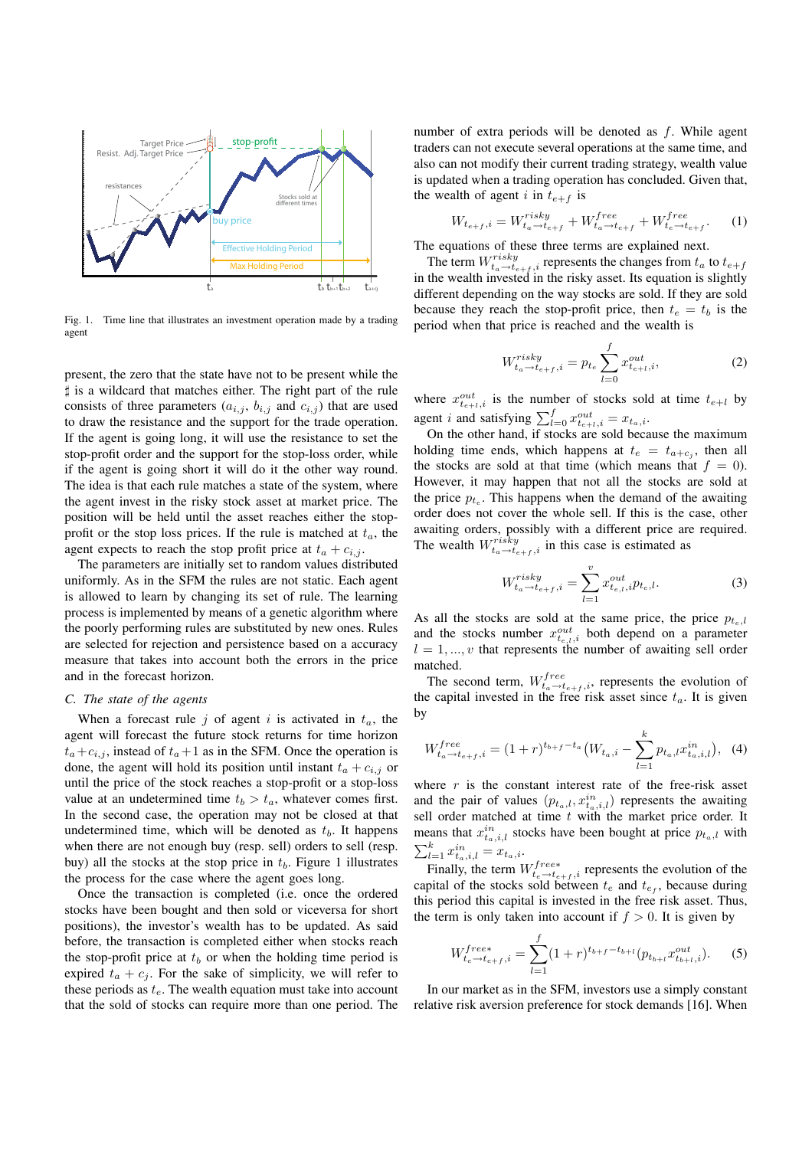

Fig. 1. Time line that illustrates an investment operation made by a trading agent

present, the zero that the state have not to be present while the ♯ is a wildcard that matches either. The right part of the rule consists of three parameters  $(a_{i,j}, b_{i,j} \text{ and } c_{i,j})$  that are used to draw the resistance and the support for the trade operation. If the agent is going long, it will use the resistance to set the stop-profit order and the support for the stop-loss order, while if the agent is going short it will do it the other way round. The idea is that each rule matches a state of the system, where the agent invest in the risky stock asset at market price. The position will be held until the asset reaches either the stopprofit or the stop loss prices. If the rule is matched at  $t_a$ , the agent expects to reach the stop profit price at  $t_a + c_{i,j}$ .

The parameters are initially set to random values distributed uniformly. As in the SFM the rules are not static. Each agent is allowed to learn by changing its set of rule. The learning process is implemented by means of a genetic algorithm where the poorly performing rules are substituted by new ones. Rules are selected for rejection and persistence based on a accuracy measure that takes into account both the errors in the price and in the forecast horizon.

## *C. The state of the agents*

When a forecast rule j of agent i is activated in  $t_a$ , the agent will forecast the future stock returns for time horizon  $t_a+c_{i,j}$ , instead of  $t_a+1$  as in the SFM. Once the operation is done, the agent will hold its position until instant  $t_a + c_{i,j}$  or until the price of the stock reaches a stop-profit or a stop-loss value at an undetermined time  $t_b > t_a$ , whatever comes first. In the second case, the operation may not be closed at that undetermined time, which will be denoted as  $t<sub>b</sub>$ . It happens when there are not enough buy (resp. sell) orders to sell (resp. buy) all the stocks at the stop price in  $t<sub>b</sub>$ . Figure 1 illustrates the process for the case where the agent goes long.

Once the transaction is completed (i.e. once the ordered stocks have been bought and then sold or viceversa for short positions), the investor's wealth has to be updated. As said before, the transaction is completed either when stocks reach the stop-profit price at  $t<sub>b</sub>$  or when the holding time period is expired  $t_a + c_j$ . For the sake of simplicity, we will refer to these periods as  $t_e$ . The wealth equation must take into account that the sold of stocks can require more than one period. The number of extra periods will be denoted as  $f$ . While agent traders can not execute several operations at the same time, and also can not modify their current trading strategy, wealth value is updated when a trading operation has concluded. Given that, the wealth of agent i in  $t_{e+f}$  is

$$
W_{t_{e+f},i} = W_{t_a \to t_{e+f}}^{risky} + W_{t_a \to t_{e+f}}^{free} + W_{t_e \to t_{e+f}}^{free}.
$$
 (1)

The equations of these three terms are explained next.

The term  $W_{t_a \to t_{e+f}, i}^{risky}$  represents the changes from  $t_a$  to  $t_{e+f}$ in the wealth invested in the risky asset. Its equation is slightly different depending on the way stocks are sold. If they are sold because they reach the stop-profit price, then  $t_e = t_b$  is the period when that price is reached and the wealth is

$$
W_{t_a \to t_{e+f}, i}^{risky} = p_{t_e} \sum_{l=0}^{f} x_{t_{e+l}, i}^{out}, \tag{2}
$$

where  $x_{t_{e+l,i}}^{out}$  is the number of stocks sold at time  $t_{e+l}$  by agent *i* and satisfying  $\sum_{l=0}^{f} x_{t_{e+l,i}}^{out} = x_{t_a,i}$ .

On the other hand, if stocks are sold because the maximum holding time ends, which happens at  $t_e = t_{a+c_j}$ , then all the stocks are sold at that time (which means that  $f = 0$ ). However, it may happen that not all the stocks are sold at the price  $p_{t_e}$ . This happens when the demand of the awaiting order does not cover the whole sell. If this is the case, other awaiting orders, possibly with a different price are required. The wealth  $W_{t_a \to t_{e+f},i}^{risky}$  in this case is estimated as

$$
W_{t_a \to t_{e+f}, i}^{risky} = \sum_{l=1}^{v} x_{t_{e,l}, i}^{out} p_{t_e, l}.
$$
 (3)

As all the stocks are sold at the same price, the price  $p_{t_{e},l}$ and the stocks number  $x_{t_{e,l},i}^{out}$  both depend on a parameter  $l = 1, \ldots, v$  that represents the number of awaiting sell order matched.

The second term,  $W_{t_a \to t_{e+f},i}^{free}$ , represents the evolution of the capital invested in the free risk asset since  $t_a$ . It is given by

$$
W_{t_a \to t_{e+f}, i}^{free} = (1+r)^{t_{b+f} - t_a} \left( W_{t_a, i} - \sum_{l=1}^{k} p_{t_a, l} x_{t_a, i, l}^{in} \right), \tag{4}
$$

where  $r$  is the constant interest rate of the free-risk asset and the pair of values  $(p_{t_a,l}, x_{t_a,i,l}^{in})$  represents the awaiting sell order matched at time  $t$  with the market price order. It means that  $x_{t_a,i,l}^{in}$  stocks have been bought at price  $p_{t_a,l}$  with  $\sum_{l=1}^{k} x_{t_a,i,l}^{in} = x_{t_a,i}.$ 

Finally, the term  $W_{t_e \to t_{e+f,i}}^{free*}$  represents the evolution of the capital of the stocks sold between  $t_e$  and  $t_{ef}$ , because during this period this capital is invested in the free risk asset. Thus, the term is only taken into account if  $f > 0$ . It is given by

$$
W_{t_e \to t_{e+f}, i}^{free*} = \sum_{l=1}^{f} (1+r)^{t_{b+f} - t_{b+l}} (p_{t_{b+l}} x_{t_{b+l}, i}^{out}). \tag{5}
$$

In our market as in the SFM, investors use a simply constant relative risk aversion preference for stock demands [16]. When